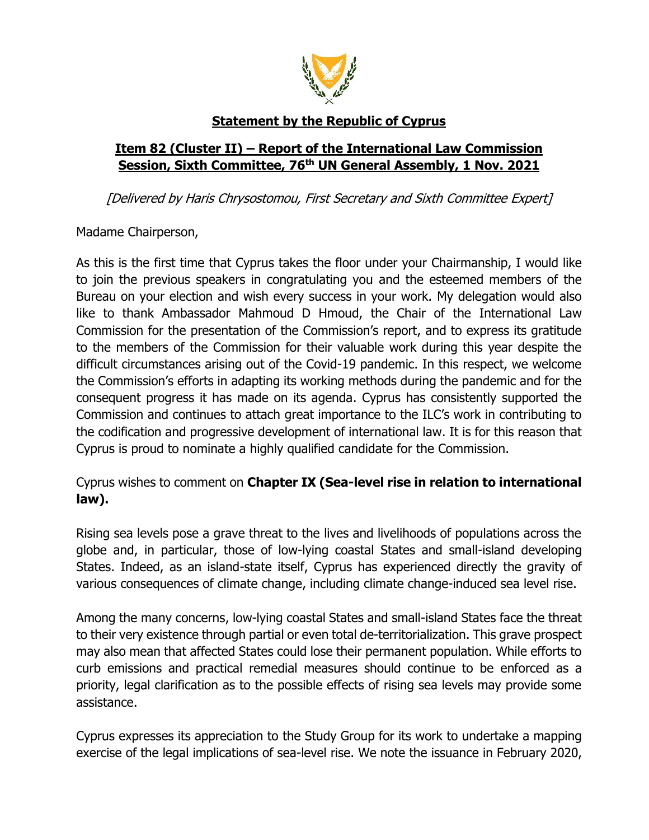

## **Statement by the Republic of Cyprus**

## **Item 82 (Cluster II) – Report of the International Law Commission Session, Sixth Committee, 76th UN General Assembly, 1 Nov. 2021**

[Delivered by Haris Chrysostomou, First Secretary and Sixth Committee Expert]

Madame Chairperson,

As this is the first time that Cyprus takes the floor under your Chairmanship, I would like to join the previous speakers in congratulating you and the esteemed members of the Bureau on your election and wish every success in your work. My delegation would also like to thank Ambassador Mahmoud D Hmoud, the Chair of the International Law Commission for the presentation of the Commission's report, and to express its gratitude to the members of the Commission for their valuable work during this year despite the difficult circumstances arising out of the Covid-19 pandemic. In this respect, we welcome the Commission's efforts in adapting its working methods during the pandemic and for the consequent progress it has made on its agenda. Cyprus has consistently supported the Commission and continues to attach great importance to the ILC's work in contributing to the codification and progressive development of international law. It is for this reason that Cyprus is proud to nominate a highly qualified candidate for the Commission.

Cyprus wishes to comment on **Chapter IX (Sea-level rise in relation to international law).** 

Rising sea levels pose a grave threat to the lives and livelihoods of populations across the globe and, in particular, those of low-lying coastal States and small-island developing States. Indeed, as an island-state itself, Cyprus has experienced directly the gravity of various consequences of climate change, including climate change-induced sea level rise.

Among the many concerns, low-lying coastal States and small-island States face the threat to their very existence through partial or even total de-territorialization. This grave prospect may also mean that affected States could lose their permanent population. While efforts to curb emissions and practical remedial measures should continue to be enforced as a priority, legal clarification as to the possible effects of rising sea levels may provide some assistance.

Cyprus expresses its appreciation to the Study Group for its work to undertake a mapping exercise of the legal implications of sea-level rise. We note the issuance in February 2020,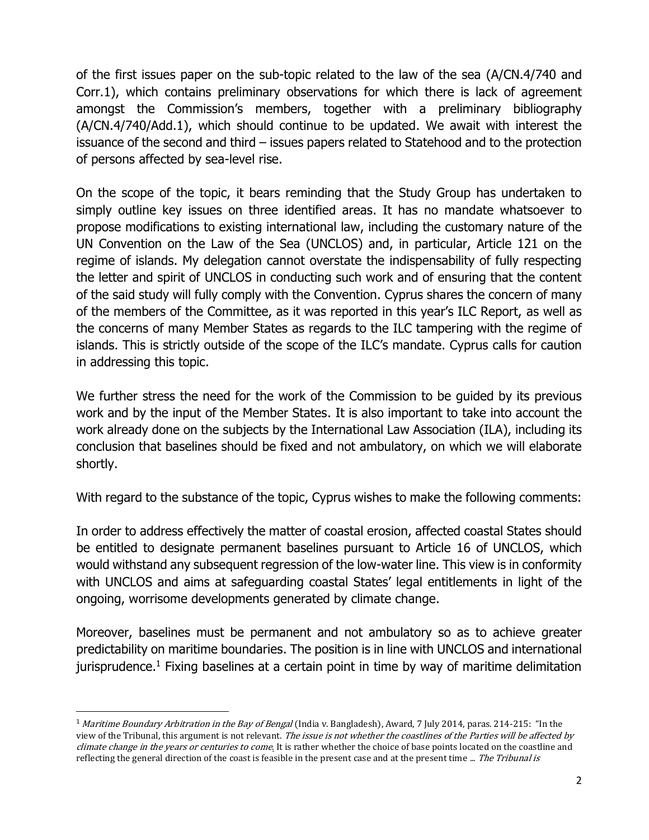of the first issues paper on the sub-topic related to the law of the sea (A/CN.4/740 and Corr.1), which contains preliminary observations for which there is lack of agreement amongst the Commission's members, together with a preliminary bibliography (A/CN.4/740/Add.1), which should continue to be updated. We await with interest the issuance of the second and third – issues papers related to Statehood and to the protection of persons affected by sea-level rise.

On the scope of the topic, it bears reminding that the Study Group has undertaken to simply outline key issues on three identified areas. It has no mandate whatsoever to propose modifications to existing international law, including the customary nature of the UN Convention on the Law of the Sea (UNCLOS) and, in particular, Article 121 on the regime of islands. My delegation cannot overstate the indispensability of fully respecting the letter and spirit of UNCLOS in conducting such work and of ensuring that the content of the said study will fully comply with the Convention. Cyprus shares the concern of many of the members of the Committee, as it was reported in this year's ILC Report, as well as the concerns of many Member States as regards to the ILC tampering with the regime of islands. This is strictly outside of the scope of the ILC's mandate. Cyprus calls for caution in addressing this topic.

We further stress the need for the work of the Commission to be guided by its previous work and by the input of the Member States. It is also important to take into account the work already done on the subjects by the International Law Association (ILA), including its conclusion that baselines should be fixed and not ambulatory, on which we will elaborate shortly.

With regard to the substance of the topic, Cyprus wishes to make the following comments:

In order to address effectively the matter of coastal erosion, affected coastal States should be entitled to designate permanent baselines pursuant to Article 16 of UNCLOS, which would withstand any subsequent regression of the low-water line. This view is in conformity with UNCLOS and aims at safeguarding coastal States' legal entitlements in light of the ongoing, worrisome developments generated by climate change.

Moreover, baselines must be permanent and not ambulatory so as to achieve greater predictability on maritime boundaries. The position is in line with UNCLOS and international jurisprudence.<sup>1</sup> Fixing baselines at a certain point in time by way of maritime delimitation

<sup>&</sup>lt;sup>1</sup> Maritime Boundary Arbitration in the Bay of Bengal (India v. Bangladesh), Award, 7 July 2014, paras. 214-215: "In the view of the Tribunal, this argument is not relevant. The issue is not whether the coastlines of the Parties will be affected by climate change in the years or centuries to come. It is rather whether the choice of base points located on the coastline and reflecting the general direction of the coast is feasible in the present case and at the present time ... The Tribunal is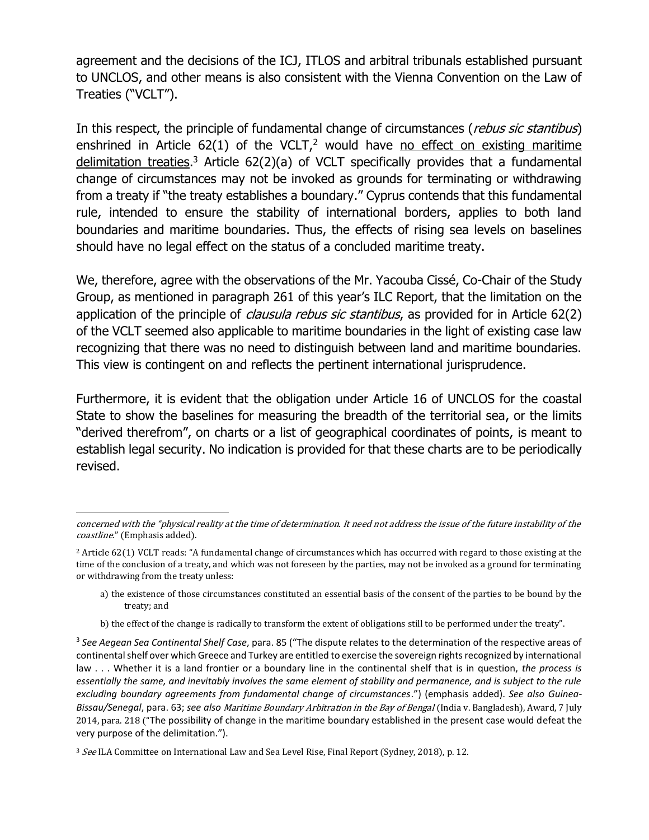agreement and the decisions of the ICJ, ITLOS and arbitral tribunals established pursuant to UNCLOS, and other means is also consistent with the Vienna Convention on the Law of Treaties ("VCLT").

In this respect, the principle of fundamental change of circumstances (*rebus sic stantibus*) enshrined in Article  $62(1)$  of the VCLT,<sup>2</sup> would have no effect on existing maritime delimitation treaties.<sup>3</sup> Article 62(2)(a) of VCLT specifically provides that a fundamental change of circumstances may not be invoked as grounds for terminating or withdrawing from a treaty if "the treaty establishes a boundary." Cyprus contends that this fundamental rule, intended to ensure the stability of international borders, applies to both land boundaries and maritime boundaries. Thus, the effects of rising sea levels on baselines should have no legal effect on the status of a concluded maritime treaty.

We, therefore, agree with the observations of the Mr. Yacouba Cissé, Co-Chair of the Study Group, as mentioned in paragraph 261 of this year's ILC Report, that the limitation on the application of the principle of *clausula rebus sic stantibus*, as provided for in Article 62(2) of the VCLT seemed also applicable to maritime boundaries in the light of existing case law recognizing that there was no need to distinguish between land and maritime boundaries. This view is contingent on and reflects the pertinent international jurisprudence.

Furthermore, it is evident that the obligation under Article 16 of UNCLOS for the coastal State to show the baselines for measuring the breadth of the territorial sea, or the limits "derived therefrom", on charts or a list of geographical coordinates of points, is meant to establish legal security. No indication is provided for that these charts are to be periodically revised.

concerned with the "physical reality at the time of determination. It need not address the issue of the future instability of the coastline." (Emphasis added).

<sup>2</sup> Article 62(1) VCLT reads: "A fundamental change of circumstances which has occurred with regard to those existing at the time of the conclusion of a treaty, and which was not foreseen by the parties, may not be invoked as a ground for terminating or withdrawing from the treaty unless:

a) the existence of those circumstances constituted an essential basis of the consent of the parties to be bound by the treaty; and

b) the effect of the change is radically to transform the extent of obligations still to be performed under the treaty".

<sup>3</sup> *See Aegean Sea Continental Shelf Case*, para. 85 ("The dispute relates to the determination of the respective areas of continental shelf over which Greece and Turkey are entitled to exercise the sovereign rights recognized by international law . . . Whether it is a land frontier or a boundary line in the continental shelf that is in question, *the process is essentially the same, and inevitably involves the same element of stability and permanence, and is subject to the rule excluding boundary agreements from fundamental change of circumstances*.") (emphasis added). *See also Guinea-Bissau/Senegal*, para. 63; *see also* Maritime Boundary Arbitration in the Bay of Bengal (India v. Bangladesh), Award, 7 July 2014, para. 218 ("The possibility of change in the maritime boundary established in the present case would defeat the very purpose of the delimitation.").

<sup>&</sup>lt;sup>3</sup> See ILA Committee on International Law and Sea Level Rise, Final Report (Sydney, 2018), p. 12.